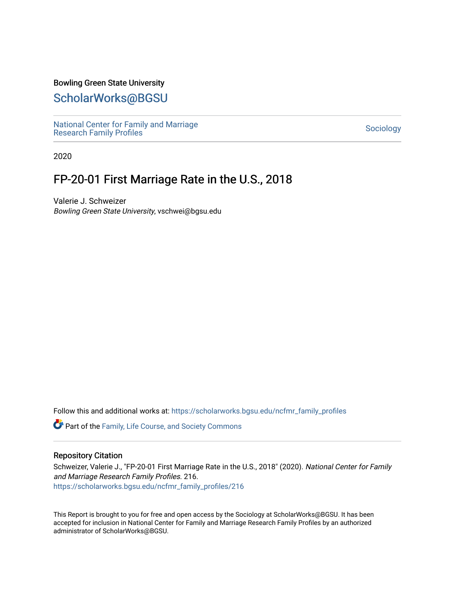### Bowling Green State University

## [ScholarWorks@BGSU](https://scholarworks.bgsu.edu/)

[National Center for Family and Marriage](https://scholarworks.bgsu.edu/ncfmr_family_profiles)  [Research Family Profiles](https://scholarworks.bgsu.edu/ncfmr_family_profiles) Sociology<br>Research Family Profiles

2020

# FP-20-01 First Marriage Rate in the U.S., 2018

Valerie J. Schweizer Bowling Green State University, vschwei@bgsu.edu

Follow this and additional works at: [https://scholarworks.bgsu.edu/ncfmr\\_family\\_profiles](https://scholarworks.bgsu.edu/ncfmr_family_profiles?utm_source=scholarworks.bgsu.edu%2Fncfmr_family_profiles%2F216&utm_medium=PDF&utm_campaign=PDFCoverPages)

Part of the [Family, Life Course, and Society Commons](http://network.bepress.com/hgg/discipline/419?utm_source=scholarworks.bgsu.edu%2Fncfmr_family_profiles%2F216&utm_medium=PDF&utm_campaign=PDFCoverPages) 

#### Repository Citation

Schweizer, Valerie J., "FP-20-01 First Marriage Rate in the U.S., 2018" (2020). National Center for Family and Marriage Research Family Profiles. 216. [https://scholarworks.bgsu.edu/ncfmr\\_family\\_profiles/216](https://scholarworks.bgsu.edu/ncfmr_family_profiles/216?utm_source=scholarworks.bgsu.edu%2Fncfmr_family_profiles%2F216&utm_medium=PDF&utm_campaign=PDFCoverPages) 

This Report is brought to you for free and open access by the Sociology at ScholarWorks@BGSU. It has been accepted for inclusion in National Center for Family and Marriage Research Family Profiles by an authorized administrator of ScholarWorks@BGSU.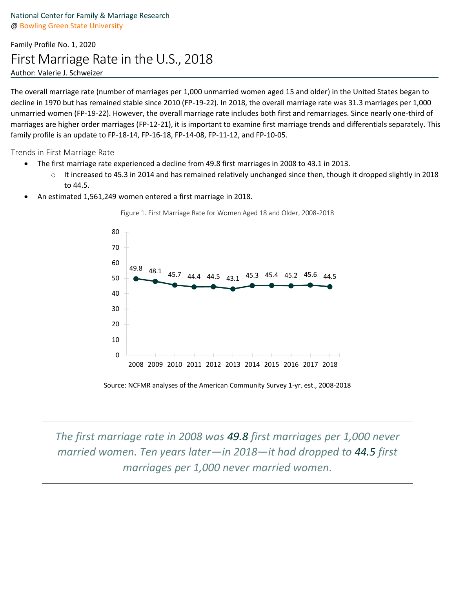## Family Profile No. 1, 2020 First Marriage Rate in the U.S., 2018 Author: Valerie J. Schweizer

The overall marriage rate (number of marriages per 1,000 unmarried women aged 15 and older) in the United States began to decline in 1970 but has remained stable since 2010 (FP-19-22). In 2018, the overall marriage rate was 31.3 marriages per 1,000 unmarried women (FP-19-22). However, the overall marriage rate includes both first and remarriages. Since nearly one-third of marriages are higher order marriages (FP-12-21), it is important to examine first marriage trends and differentials separately. This family profile is an update to FP-18-14, FP-16-18, FP-14-08, FP-11-12, and FP-10-05.

Trends in First Marriage Rate

- The first marriage rate experienced a decline from 49.8 first marriages in 2008 to 43.1 in 2013.
	- $\circ$  It increased to 45.3 in 2014 and has remained relatively unchanged since then, though it dropped slightly in 2018 to 44.5.
- An estimated 1,561,249 women entered a first marriage in 2018.



Figure 1. First Marriage Rate for Women Aged 18 and Older, 2008-2018

Source: NCFMR analyses of the American Community Survey 1-yr. est., 2008-2018

*The first marriage rate in 2008 was 49.8 first marriages per 1,000 never married women. Ten years later—in 2018—it had dropped to 44.5 first marriages per 1,000 never married women.*